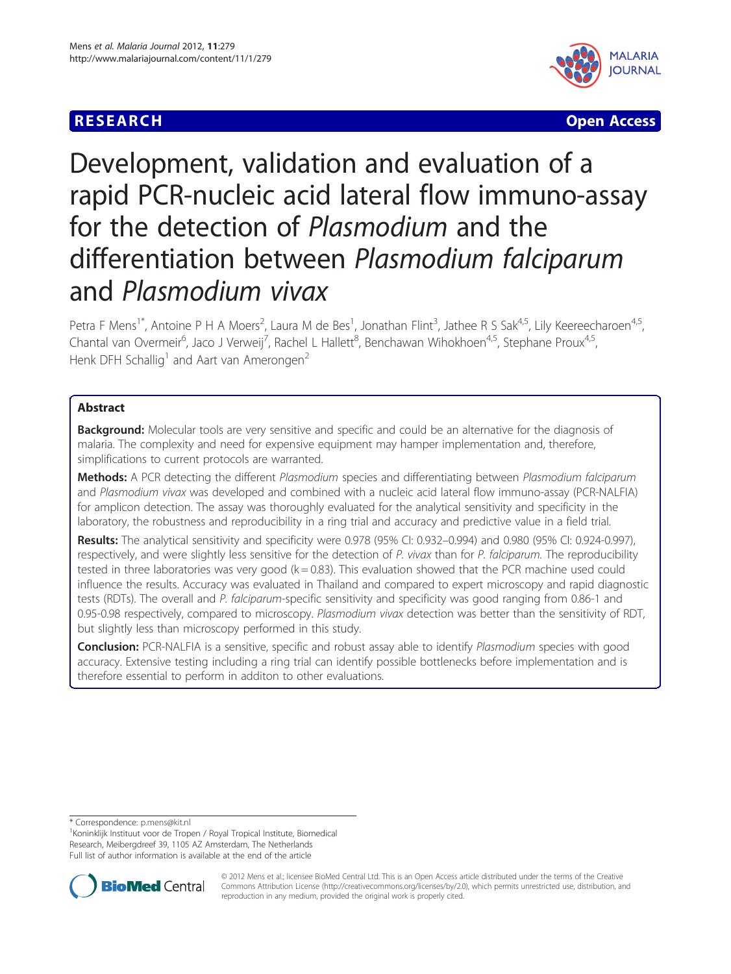## **RESEARCH CHE CHE Open Access**



# Development, validation and evaluation of a rapid PCR-nucleic acid lateral flow immuno-assay for the detection of Plasmodium and the differentiation between Plasmodium falciparum and Plasmodium vivax

Petra F Mens<sup>1\*</sup>, Antoine P H A Moers<sup>2</sup>, Laura M de Bes<sup>1</sup>, Jonathan Flint<sup>3</sup>, Jathee R S Sak<sup>4,5</sup>, Lily Keereecharoen<sup>4,5</sup>, Chantal van Overmeir<sup>6</sup>, Jaco J Verweij<sup>7</sup>, Rachel L Hallett<sup>8</sup>, Benchawan Wihokhoen<sup>4,5</sup>, Stephane Proux<sup>4,5</sup>, Henk DFH Schallig<sup>1</sup> and Aart van Amerongen<sup>2</sup>

## Abstract

**Background:** Molecular tools are very sensitive and specific and could be an alternative for the diagnosis of malaria. The complexity and need for expensive equipment may hamper implementation and, therefore, simplifications to current protocols are warranted.

Methods: A PCR detecting the different Plasmodium species and differentiating between Plasmodium falciparum and Plasmodium vivax was developed and combined with a nucleic acid lateral flow immuno-assay (PCR-NALFIA) for amplicon detection. The assay was thoroughly evaluated for the analytical sensitivity and specificity in the laboratory, the robustness and reproducibility in a ring trial and accuracy and predictive value in a field trial.

Results: The analytical sensitivity and specificity were 0.978 (95% Cl: 0.932-0.994) and 0.980 (95% CI: 0.924-0.997), respectively, and were slightly less sensitive for the detection of P. vivax than for P. falciparum. The reproducibility tested in three laboratories was very good  $(k = 0.83)$ . This evaluation showed that the PCR machine used could influence the results. Accuracy was evaluated in Thailand and compared to expert microscopy and rapid diagnostic tests (RDTs). The overall and P. falciparum-specific sensitivity and specificity was good ranging from 0.86-1 and 0.95-0.98 respectively, compared to microscopy. Plasmodium vivax detection was better than the sensitivity of RDT, but slightly less than microscopy performed in this study.

Conclusion: PCR-NALFIA is a sensitive, specific and robust assay able to identify Plasmodium species with good accuracy. Extensive testing including a ring trial can identify possible bottlenecks before implementation and is therefore essential to perform in additon to other evaluations.

\* Correspondence: [p.mens@kit.nl](mailto:p.mens@kit.nl) <sup>1</sup>

<sup>1</sup> Koninklijk Instituut voor de Tropen / Royal Tropical Institute, Biomedical Research, Meibergdreef 39, 1105 AZ Amsterdam, The Netherlands Full list of author information is available at the end of the article



© 2012 Mens et al.; licensee BioMed Central Ltd. This is an Open Access article distributed under the terms of the Creative Commons Attribution License [\(http://creativecommons.org/licenses/by/2.0\)](http://creativecommons.org/licenses/by/2.0), which permits unrestricted use, distribution, and reproduction in any medium, provided the original work is properly cited.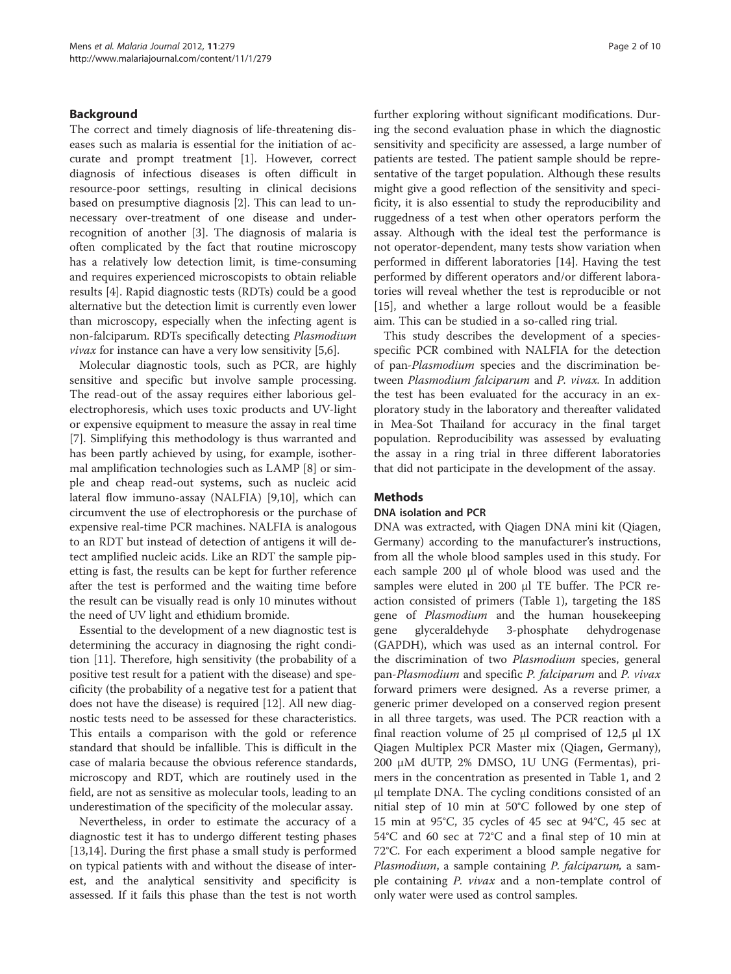## Background

The correct and timely diagnosis of life-threatening diseases such as malaria is essential for the initiation of accurate and prompt treatment [\[1](#page-8-0)]. However, correct diagnosis of infectious diseases is often difficult in resource-poor settings, resulting in clinical decisions based on presumptive diagnosis [[2](#page-8-0)]. This can lead to unnecessary over-treatment of one disease and underrecognition of another [[3](#page-8-0)]. The diagnosis of malaria is often complicated by the fact that routine microscopy has a relatively low detection limit, is time-consuming and requires experienced microscopists to obtain reliable results [\[4](#page-8-0)]. Rapid diagnostic tests (RDTs) could be a good alternative but the detection limit is currently even lower than microscopy, especially when the infecting agent is non-falciparum. RDTs specifically detecting Plasmodium *vivax* for instance can have a very low sensitivity  $[5,6]$  $[5,6]$  $[5,6]$  $[5,6]$ .

Molecular diagnostic tools, such as PCR, are highly sensitive and specific but involve sample processing. The read-out of the assay requires either laborious gelelectrophoresis, which uses toxic products and UV-light or expensive equipment to measure the assay in real time [[7\]](#page-8-0). Simplifying this methodology is thus warranted and has been partly achieved by using, for example, isothermal amplification technologies such as LAMP [\[8](#page-8-0)] or simple and cheap read-out systems, such as nucleic acid lateral flow immuno-assay (NALFIA) [[9,10\]](#page-8-0), which can circumvent the use of electrophoresis or the purchase of expensive real-time PCR machines. NALFIA is analogous to an RDT but instead of detection of antigens it will detect amplified nucleic acids. Like an RDT the sample pipetting is fast, the results can be kept for further reference after the test is performed and the waiting time before the result can be visually read is only 10 minutes without the need of UV light and ethidium bromide.

Essential to the development of a new diagnostic test is determining the accuracy in diagnosing the right condition [\[11](#page-8-0)]. Therefore, high sensitivity (the probability of a positive test result for a patient with the disease) and specificity (the probability of a negative test for a patient that does not have the disease) is required [\[12\]](#page-8-0). All new diagnostic tests need to be assessed for these characteristics. This entails a comparison with the gold or reference standard that should be infallible. This is difficult in the case of malaria because the obvious reference standards, microscopy and RDT, which are routinely used in the field, are not as sensitive as molecular tools, leading to an underestimation of the specificity of the molecular assay.

Nevertheless, in order to estimate the accuracy of a diagnostic test it has to undergo different testing phases [[13,14\]](#page-8-0). During the first phase a small study is performed on typical patients with and without the disease of interest, and the analytical sensitivity and specificity is assessed. If it fails this phase than the test is not worth further exploring without significant modifications. During the second evaluation phase in which the diagnostic sensitivity and specificity are assessed, a large number of patients are tested. The patient sample should be representative of the target population. Although these results might give a good reflection of the sensitivity and specificity, it is also essential to study the reproducibility and ruggedness of a test when other operators perform the assay. Although with the ideal test the performance is not operator-dependent, many tests show variation when performed in different laboratories [[14\]](#page-8-0). Having the test performed by different operators and/or different laboratories will reveal whether the test is reproducible or not [[15\]](#page-8-0), and whether a large rollout would be a feasible aim. This can be studied in a so-called ring trial.

This study describes the development of a speciesspecific PCR combined with NALFIA for the detection of pan-Plasmodium species and the discrimination between Plasmodium falciparum and P. vivax. In addition the test has been evaluated for the accuracy in an exploratory study in the laboratory and thereafter validated in Mea-Sot Thailand for accuracy in the final target population. Reproducibility was assessed by evaluating the assay in a ring trial in three different laboratories that did not participate in the development of the assay.

## Methods

## DNA isolation and PCR

DNA was extracted, with Qiagen DNA mini kit (Qiagen, Germany) according to the manufacturer's instructions, from all the whole blood samples used in this study. For each sample 200 μl of whole blood was used and the samples were eluted in 200 μl TE buffer. The PCR reaction consisted of primers (Table [1](#page-2-0)), targeting the 18S gene of Plasmodium and the human housekeeping gene glyceraldehyde 3-phosphate dehydrogenase (GAPDH), which was used as an internal control. For the discrimination of two Plasmodium species, general pan-Plasmodium and specific P. falciparum and P. vivax forward primers were designed. As a reverse primer, a generic primer developed on a conserved region present in all three targets, was used. The PCR reaction with a final reaction volume of 25 μl comprised of 12,5 μl 1X Qiagen Multiplex PCR Master mix (Qiagen, Germany), 200 μM dUTP, 2% DMSO, 1U UNG (Fermentas), primers in the concentration as presented in Table [1](#page-2-0), and [2](#page-2-0) μl template DNA. The cycling conditions consisted of an nitial step of 10 min at 50°C followed by one step of 15 min at 95°C, 35 cycles of 45 sec at 94°C, 45 sec at 54°C and 60 sec at 72°C and a final step of 10 min at 72°C. For each experiment a blood sample negative for Plasmodium, a sample containing P. falciparum, a sample containing P. vivax and a non-template control of only water were used as control samples.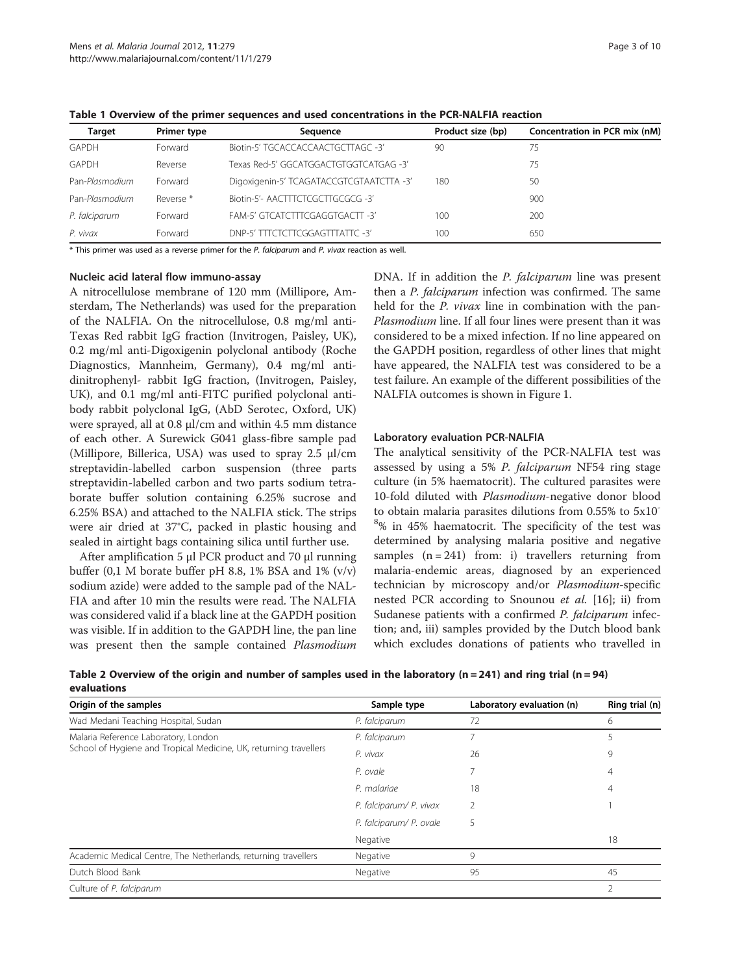| Target         | Primer type<br>Sequence |                                           | Product size (bp) | Concentration in PCR mix (nM) |
|----------------|-------------------------|-------------------------------------------|-------------------|-------------------------------|
| <b>GAPDH</b>   | Forward                 | Biotin-5' TGCACCACCAACTGCTTAGC -3'<br>-90 |                   | 75                            |
| <b>GAPDH</b>   | Reverse                 | Texas Red-5' GGCATGGACTGTGGTCATGAG -3'    |                   | 75                            |
| Pan-Plasmodium | Forward                 | Digoxigenin-5' TCAGATACCGTCGTAATCTTA -3'  | 180               | 50                            |
| Pan-Plasmodium | Reverse *               | Biotin-5'- AACTTTCTCGCTTGCGCG -3'         |                   | 900                           |
| P. falciparum  | Forward                 | FAM-5' GTCATCTTTCGAGGTGACTT -3'           | 100               | 200                           |
| P. vivax       | Forward                 | DNP-5' TITCTCTTCGGAGTTTATTC -3'           | 100               | 650                           |

<span id="page-2-0"></span>Table 1 Overview of the primer sequences and used concentrations in the PCR-NALFIA reaction

\* This primer was used as a reverse primer for the P. falciparum and P. vivax reaction as well.

#### Nucleic acid lateral flow immuno-assay

A nitrocellulose membrane of 120 mm (Millipore, Amsterdam, The Netherlands) was used for the preparation of the NALFIA. On the nitrocellulose, 0.8 mg/ml anti-Texas Red rabbit IgG fraction (Invitrogen, Paisley, UK), 0.2 mg/ml anti-Digoxigenin polyclonal antibody (Roche Diagnostics, Mannheim, Germany), 0.4 mg/ml antidinitrophenyl- rabbit IgG fraction, (Invitrogen, Paisley, UK), and 0.1 mg/ml anti-FITC purified polyclonal antibody rabbit polyclonal IgG, (AbD Serotec, Oxford, UK) were sprayed, all at 0.8 μl/cm and within 4.5 mm distance of each other. A Surewick G041 glass-fibre sample pad (Millipore, Billerica, USA) was used to spray 2.5 μl/cm streptavidin-labelled carbon suspension (three parts streptavidin-labelled carbon and two parts sodium tetraborate buffer solution containing 6.25% sucrose and 6.25% BSA) and attached to the NALFIA stick. The strips were air dried at 37°C, packed in plastic housing and sealed in airtight bags containing silica until further use.

After amplification 5 μl PCR product and 70 μl running buffer (0,1 M borate buffer pH 8.8, 1% BSA and 1% (v/v) sodium azide) were added to the sample pad of the NAL-FIA and after 10 min the results were read. The NALFIA was considered valid if a black line at the GAPDH position was visible. If in addition to the GAPDH line, the pan line was present then the sample contained *Plasmodium*  DNA. If in addition the *P. falciparum* line was present then a P. falciparum infection was confirmed. The same held for the *P. vivax* line in combination with the pan-Plasmodium line. If all four lines were present than it was considered to be a mixed infection. If no line appeared on the GAPDH position, regardless of other lines that might have appeared, the NALFIA test was considered to be a test failure. An example of the different possibilities of the NALFIA outcomes is shown in Figure [1.](#page-3-0)

#### Laboratory evaluation PCR-NALFIA

The analytical sensitivity of the PCR-NALFIA test was assessed by using a 5% P. falciparum NF54 ring stage culture (in 5% haematocrit). The cultured parasites were 10-fold diluted with Plasmodium-negative donor blood to obtain malaria parasites dilutions from 0.55% to 5x10- 8 % in 45% haematocrit. The specificity of the test was determined by analysing malaria positive and negative samples  $(n = 241)$  from: i) travellers returning from malaria-endemic areas, diagnosed by an experienced technician by microscopy and/or Plasmodium-specific nested PCR according to Snounou et al. [\[16](#page-8-0)]; ii) from Sudanese patients with a confirmed P. falciparum infection; and, iii) samples provided by the Dutch blood bank which excludes donations of patients who travelled in

Table 2 Overview of the origin and number of samples used in the laboratory (n = 241) and ring trial (n = 94) evaluations

| Origin of the samples                                             | Sample type             | Laboratory evaluation (n) | Ring trial (n) |
|-------------------------------------------------------------------|-------------------------|---------------------------|----------------|
| Wad Medani Teaching Hospital, Sudan                               | P. falciparum           | 72                        | 6              |
| Malaria Reference Laboratory, London                              | P. falciparum           | 7                         | 5              |
| School of Hygiene and Tropical Medicine, UK, returning travellers | P. vivax                | 26                        | 9              |
|                                                                   | P. ovale                |                           | $\overline{4}$ |
|                                                                   | P. malariae             | 18                        | 4              |
|                                                                   | P. falciparum/ P. vivax |                           |                |
|                                                                   | P. falciparum/ P. ovale | 5                         |                |
|                                                                   | Negative                |                           | 18             |
| Academic Medical Centre, The Netherlands, returning travellers    | Negative                | 9                         |                |
| Dutch Blood Bank                                                  | Negative                | 95                        | 45             |
| Culture of P. falciparum                                          |                         |                           | 2              |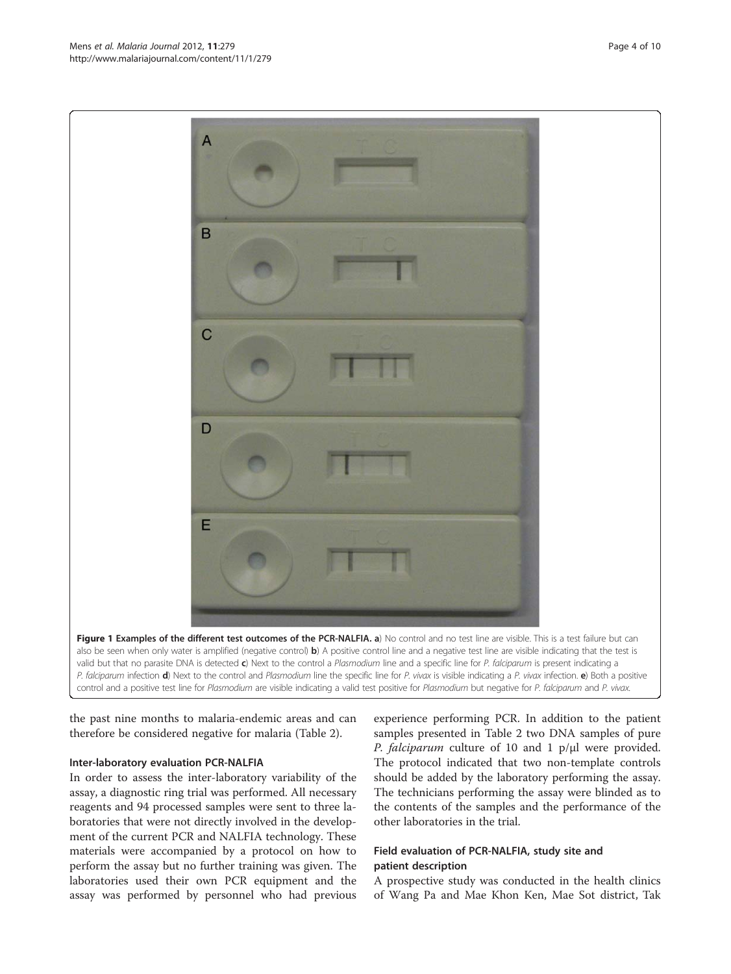the past nine months to malaria-endemic areas and can therefore be considered negative for malaria (Table [2\)](#page-2-0).

#### Inter-laboratory evaluation PCR-NALFIA

In order to assess the inter-laboratory variability of the assay, a diagnostic ring trial was performed. All necessary reagents and 94 processed samples were sent to three laboratories that were not directly involved in the development of the current PCR and NALFIA technology. These materials were accompanied by a protocol on how to perform the assay but no further training was given. The laboratories used their own PCR equipment and the assay was performed by personnel who had previous

experience performing PCR. In addition to the patient samples presented in Table [2](#page-2-0) two DNA samples of pure *P. falciparum* culture of 10 and 1  $p/\mu$  were provided. The protocol indicated that two non-template controls should be added by the laboratory performing the assay. The technicians performing the assay were blinded as to the contents of the samples and the performance of the other laboratories in the trial.

## Field evaluation of PCR-NALFIA, study site and patient description

A prospective study was conducted in the health clinics of Wang Pa and Mae Khon Ken, Mae Sot district, Tak

<span id="page-3-0"></span>

control and a positive test line for Plasmodium are visible indicating a valid test positive for Plasmodium but negative for P. falciparum and P. vivax.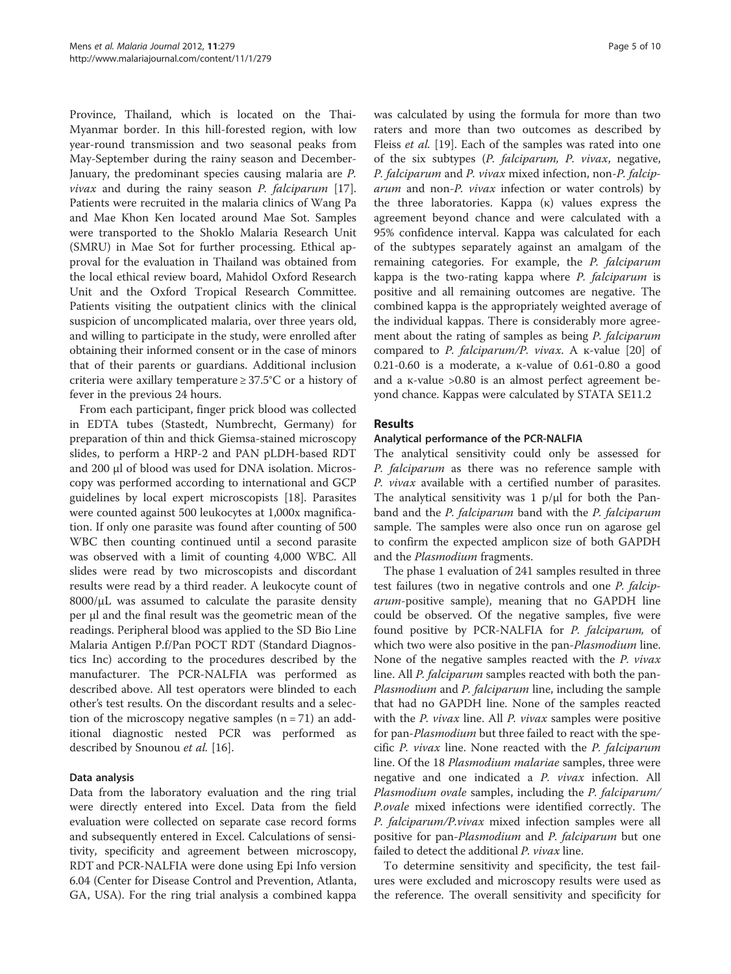Province, Thailand, which is located on the Thai-Myanmar border. In this hill-forested region, with low year-round transmission and two seasonal peaks from May-September during the rainy season and December-January, the predominant species causing malaria are P. *vivax* and during the rainy season  $P$ . *falciparum* [\[17](#page-8-0)]. Patients were recruited in the malaria clinics of Wang Pa and Mae Khon Ken located around Mae Sot. Samples were transported to the Shoklo Malaria Research Unit (SMRU) in Mae Sot for further processing. Ethical approval for the evaluation in Thailand was obtained from the local ethical review board, Mahidol Oxford Research Unit and the Oxford Tropical Research Committee. Patients visiting the outpatient clinics with the clinical suspicion of uncomplicated malaria, over three years old, and willing to participate in the study, were enrolled after obtaining their informed consent or in the case of minors that of their parents or guardians. Additional inclusion criteria were axillary temperature ≥ 37.5°C or a history of fever in the previous 24 hours.

From each participant, finger prick blood was collected in EDTA tubes (Stastedt, Numbrecht, Germany) for preparation of thin and thick Giemsa-stained microscopy slides, to perform a HRP-2 and PAN pLDH-based RDT and 200 μl of blood was used for DNA isolation. Microscopy was performed according to international and GCP guidelines by local expert microscopists [[18\]](#page-8-0). Parasites were counted against 500 leukocytes at 1,000x magnification. If only one parasite was found after counting of 500 WBC then counting continued until a second parasite was observed with a limit of counting 4,000 WBC. All slides were read by two microscopists and discordant results were read by a third reader. A leukocyte count of 8000/μL was assumed to calculate the parasite density per μl and the final result was the geometric mean of the readings. Peripheral blood was applied to the SD Bio Line Malaria Antigen P.f/Pan POCT RDT (Standard Diagnostics Inc) according to the procedures described by the manufacturer. The PCR-NALFIA was performed as described above. All test operators were blinded to each other's test results. On the discordant results and a selection of the microscopy negative samples  $(n = 71)$  an additional diagnostic nested PCR was performed as described by Snounou *et al.* [[16](#page-8-0)].

## Data analysis

Data from the laboratory evaluation and the ring trial were directly entered into Excel. Data from the field evaluation were collected on separate case record forms and subsequently entered in Excel. Calculations of sensitivity, specificity and agreement between microscopy, RDT and PCR-NALFIA were done using Epi Info version 6.04 (Center for Disease Control and Prevention, Atlanta, GA, USA). For the ring trial analysis a combined kappa was calculated by using the formula for more than two raters and more than two outcomes as described by Fleiss et al. [\[19](#page-8-0)]. Each of the samples was rated into one of the six subtypes (P. falciparum, P. vivax, negative, P. falciparum and P. vivax mixed infection, non-P. falciparum and non-P. vivax infection or water controls) by the three laboratories. Kappa (κ) values express the agreement beyond chance and were calculated with a 95% confidence interval. Kappa was calculated for each of the subtypes separately against an amalgam of the remaining categories. For example, the P. falciparum kappa is the two-rating kappa where P. falciparum is positive and all remaining outcomes are negative. The combined kappa is the appropriately weighted average of the individual kappas. There is considerably more agreement about the rating of samples as being P. falciparum compared to P. falciparum/P. vivax. A ĸ-value [\[20\]](#page-8-0) of 0.21-0.60 is a moderate, a  $x$ -value of 0.61-0.80 a good and a ĸ-value >0.80 is an almost perfect agreement beyond chance. Kappas were calculated by STATA SE11.2

#### Results

#### Analytical performance of the PCR-NALFIA

The analytical sensitivity could only be assessed for P. falciparum as there was no reference sample with P. vivax available with a certified number of parasites. The analytical sensitivity was  $1$  p/ $\mu$ l for both the Panband and the P. falciparum band with the P. falciparum sample. The samples were also once run on agarose gel to confirm the expected amplicon size of both GAPDH and the Plasmodium fragments.

The phase 1 evaluation of 241 samples resulted in three test failures (two in negative controls and one P. falciparum-positive sample), meaning that no GAPDH line could be observed. Of the negative samples, five were found positive by PCR-NALFIA for P. falciparum, of which two were also positive in the pan-*Plasmodium* line. None of the negative samples reacted with the P. vivax line. All P. falciparum samples reacted with both the pan-Plasmodium and P. falciparum line, including the sample that had no GAPDH line. None of the samples reacted with the *P. vivax* line. All *P. vivax* samples were positive for pan-*Plasmodium* but three failed to react with the specific P. vivax line. None reacted with the P. falciparum line. Of the 18 Plasmodium malariae samples, three were negative and one indicated a P. vivax infection. All Plasmodium ovale samples, including the P. falciparum/ P.ovale mixed infections were identified correctly. The P. falciparum/P.vivax mixed infection samples were all positive for pan-Plasmodium and P. falciparum but one failed to detect the additional *P. vivax* line.

To determine sensitivity and specificity, the test failures were excluded and microscopy results were used as the reference. The overall sensitivity and specificity for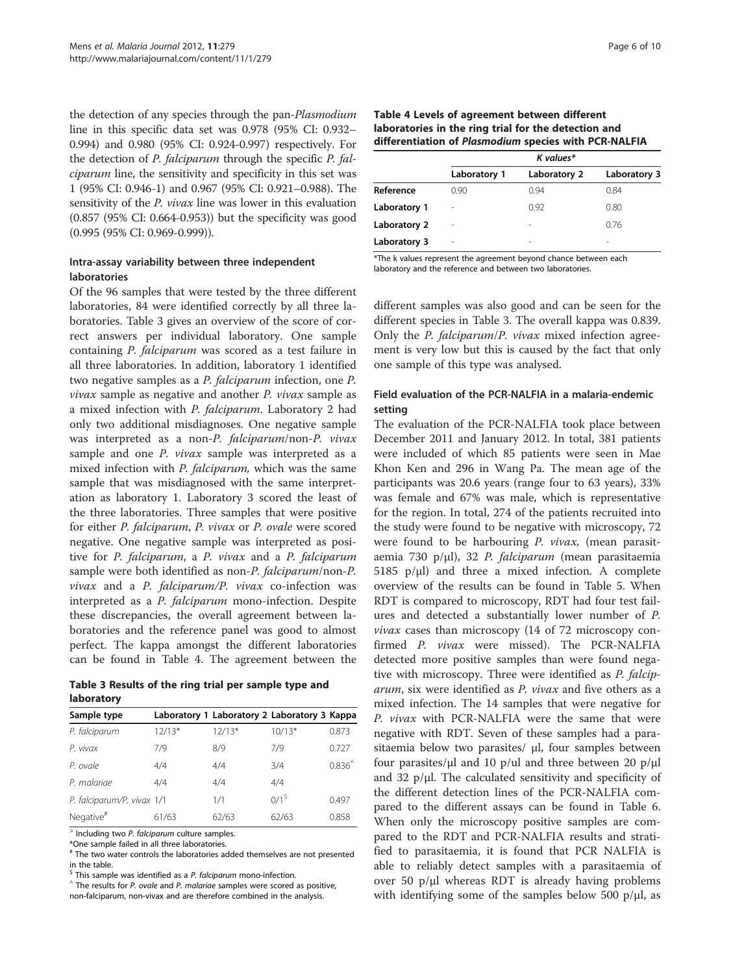the detection of any species through the pan-Plasmodium line in this specific data set was 0.978 (95% CI: 0.932– 0.994) and 0.980 (95% CI: 0.924-0.997) respectively. For the detection of P. falciparum through the specific P. falciparum line, the sensitivity and specificity in this set was 1 (95% CI: 0.946-1) and 0.967 (95% CI: 0.921–0.988). The sensitivity of the *P. vivax* line was lower in this evaluation (0.857 (95% CI: 0.664-0.953)) but the specificity was good (0.995 (95% CI: 0.969-0.999)).

## Intra-assay variability between three independent laboratories

Of the 96 samples that were tested by the three different laboratories, 84 were identified correctly by all three laboratories. Table 3 gives an overview of the score of correct answers per individual laboratory. One sample containing P. falciparum was scored as a test failure in all three laboratories. In addition, laboratory 1 identified two negative samples as a P. falciparum infection, one P. vivax sample as negative and another P. vivax sample as a mixed infection with P. falciparum. Laboratory 2 had only two additional misdiagnoses. One negative sample was interpreted as a non-P. falciparum/non-P. vivax sample and one *P. vivax* sample was interpreted as a mixed infection with P. falciparum, which was the same sample that was misdiagnosed with the same interpretation as laboratory 1. Laboratory 3 scored the least of the three laboratories. Three samples that were positive for either P. falciparum, P. vivax or P. ovale were scored negative. One negative sample was interpreted as positive for P. falciparum, a P. vivax and a P. falciparum sample were both identified as non-P. falciparum/non-P. vivax and a P. falciparum/P. vivax co-infection was interpreted as a P. falciparum mono-infection. Despite these discrepancies, the overall agreement between laboratories and the reference panel was good to almost perfect. The kappa amongst the different laboratories can be found in Table 4. The agreement between the

Table 3 Results of the ring trial per sample type and laboratory

| Sample type                |          |          | Laboratory 1 Laboratory 2 Laboratory 3 Kappa |                 |
|----------------------------|----------|----------|----------------------------------------------|-----------------|
| P. falciparum              | $12/13*$ | $12/13*$ | $10/13*$                                     | 0.873           |
| P. vivax                   | 7/9      | 8/9      | 7/9                                          | 0.727           |
| P. ovale                   | 4/4      | 4/4      | 3/4                                          | $0.836^{\circ}$ |
| P. malariae                | 4/4      | 4/4      | 4/4                                          |                 |
| P. falciparum/P. vivax 1/1 |          | 1/1      | $0/1^5$                                      | 0.497           |
| Negative <sup>#</sup>      | 61/63    | 62/63    | 62/63                                        | 0.858           |

 $\overline{P}$  Including two *P. falciparum* culture samples.

\*One sample failed in all three laboratories.

# The two water controls the laboratories added themselves are not presented

 $\hat{ }$  The results for P. ovale and P. malariae samples were scored as positive, non-falciparum, non-vivax and are therefore combined in the analysis.

| Table 4 Levels of agreement between different         |  |  |  |  |
|-------------------------------------------------------|--|--|--|--|
| laboratories in the ring trial for the detection and  |  |  |  |  |
| differentiation of Plasmodium species with PCR-NALFIA |  |  |  |  |

|              | K values*    |              |              |  |
|--------------|--------------|--------------|--------------|--|
|              | Laboratory 1 | Laboratory 2 | Laboratory 3 |  |
| Reference    | 0.90         | 0.94         | 0.84         |  |
| Laboratory 1 | ۰            | 0.92         | 0.80         |  |
| Laboratory 2 | ۰            | -            | 0.76         |  |
| Laboratory 3 | ۰            | -            | -            |  |

\*The k values represent the agreement beyond chance between each laboratory and the reference and between two laboratories.

different samples was also good and can be seen for the different species in Table 3. The overall kappa was 0.839. Only the *P. falciparum*/*P. vivax* mixed infection agreement is very low but this is caused by the fact that only one sample of this type was analysed.

## Field evaluation of the PCR-NALFIA in a malaria-endemic setting

The evaluation of the PCR-NALFIA took place between December 2011 and January 2012. In total, 381 patients were included of which 85 patients were seen in Mae Khon Ken and 296 in Wang Pa. The mean age of the participants was 20.6 years (range four to 63 years), 33% was female and 67% was male, which is representative for the region. In total, 274 of the patients recruited into the study were found to be negative with microscopy, 72 were found to be harbouring P. vivax, (mean parasitaemia 730 p/μl), 32 P. falciparum (mean parasitaemia 5185 p/μl) and three a mixed infection. A complete overview of the results can be found in Table [5](#page-6-0). When RDT is compared to microscopy, RDT had four test failures and detected a substantially lower number of P. vivax cases than microscopy (14 of 72 microscopy confirmed P. vivax were missed). The PCR-NALFIA detected more positive samples than were found negative with microscopy. Three were identified as P. falciparum, six were identified as P. vivax and five others as a mixed infection. The 14 samples that were negative for P. vivax with PCR-NALFIA were the same that were negative with RDT. Seven of these samples had a parasitaemia below two parasites/ μl, four samples between four parasites/ $\mu$ l and 10 p/ul and three between 20 p/ $\mu$ l and 32  $p/\mu$ . The calculated sensitivity and specificity of the different detection lines of the PCR-NALFIA compared to the different assays can be found in Table [6](#page-6-0). When only the microscopy positive samples are compared to the RDT and PCR-NALFIA results and stratified to parasitaemia, it is found that PCR NALFIA is able to reliably detect samples with a parasitaemia of over 50 p/μl whereas RDT is already having problems with identifying some of the samples below 500 p/ $\mu$ l, as

in the table.<br> $\frac{1}{2}$  This sample was identified as a *P. falciparum* mono-infection.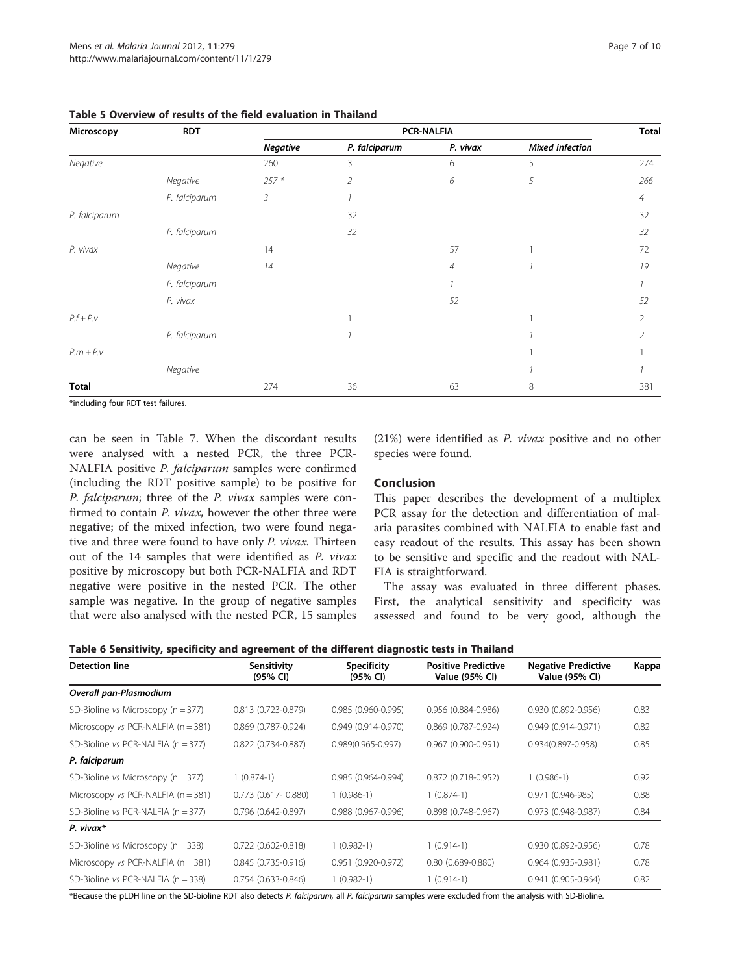| Microscopy    | <b>RDT</b>    | <b>PCR-NALFIA</b> |                |               | <b>Total</b>           |                |
|---------------|---------------|-------------------|----------------|---------------|------------------------|----------------|
|               |               | <b>Negative</b>   | P. falciparum  | P. vivax      | <b>Mixed infection</b> |                |
| Negative      |               | 260               | 3              | 6             | 5                      | 274            |
|               | Negative      | 257 *             | $\overline{2}$ | 6             | 5                      | 266            |
|               | P. falciparum | 3                 |                |               |                        | 4              |
| P. falciparum |               |                   | 32             |               |                        | 32             |
|               | P. falciparum |                   | 32             |               |                        | 32             |
| P. vivax      |               | 14                |                | 57            |                        | 72             |
|               | Negative      | 14                |                | 4             |                        | 19             |
|               | P. falciparum |                   |                | $\mathcal{I}$ |                        |                |
|               | P. vivax      |                   |                | 52            |                        | 52             |
| $P.f + P.v$   |               |                   |                |               |                        | 2              |
|               | P. falciparum |                   |                |               |                        | $\overline{2}$ |
| $P.m + P.v$   |               |                   |                |               |                        |                |
|               | Negative      |                   |                |               |                        |                |
| <b>Total</b>  |               | 274               | 36             | 63            | 8                      | 381            |

### <span id="page-6-0"></span>Table 5 Overview of results of the field evaluation in Thailand

\*including four RDT test failures.

can be seen in Table [7.](#page-7-0) When the discordant results were analysed with a nested PCR, the three PCR-NALFIA positive P. falciparum samples were confirmed (including the RDT positive sample) to be positive for P. falciparum; three of the P. vivax samples were confirmed to contain P. vivax, however the other three were negative; of the mixed infection, two were found negative and three were found to have only P. vivax. Thirteen out of the 14 samples that were identified as P. vivax positive by microscopy but both PCR-NALFIA and RDT negative were positive in the nested PCR. The other sample was negative. In the group of negative samples that were also analysed with the nested PCR, 15 samples

(21%) were identified as P. vivax positive and no other species were found.

#### Conclusion

This paper describes the development of a multiplex PCR assay for the detection and differentiation of malaria parasites combined with NALFIA to enable fast and easy readout of the results. This assay has been shown to be sensitive and specific and the readout with NAL-FIA is straightforward.

The assay was evaluated in three different phases. First, the analytical sensitivity and specificity was assessed and found to be very good, although the

| <b>Detection line</b>                  | Sensitivity<br>(95% CI)   | Specificity<br>(95% CI) | <b>Positive Predictive</b><br>Value (95% CI) | <b>Negative Predictive</b><br>Value (95% CI) | Kappa |
|----------------------------------------|---------------------------|-------------------------|----------------------------------------------|----------------------------------------------|-------|
| Overall pan-Plasmodium                 |                           |                         |                                              |                                              |       |
| SD-Bioline vs Microscopy ( $n = 377$ ) | 0.813 (0.723-0.879)       | $0.985(0.960 - 0.995)$  | $0.956$ (0.884-0.986)                        | $0.930(0.892 - 0.956)$                       | 0.83  |
| Microscopy vs PCR-NALFIA $(n = 381)$   | $0.869(0.787 - 0.924)$    | $0.949(0.914 - 0.970)$  | 0.869 (0.787-0.924)                          | $0.949(0.914 - 0.971)$                       | 0.82  |
| SD-Bioline vs PCR-NALFIA $(n = 377)$   | 0.822 (0.734-0.887)       | $0.989(0.965 - 0.997)$  | $0.967(0.900 - 0.991)$                       | $0.934(0.897 - 0.958)$                       | 0.85  |
| P. falciparum                          |                           |                         |                                              |                                              |       |
| SD-Bioline vs Microscopy ( $n = 377$ ) | $1(0.874-1)$              | $0.985(0.964 - 0.994)$  | $0.872$ (0.718-0.952)                        | $1(0.986-1)$                                 | 0.92  |
| Microscopy vs PCR-NALFIA $(n = 381)$   | $0.773$ $(0.617 - 0.880)$ | $1(0.986-1)$            | $1(0.874-1)$                                 | 0.971 (0.946-985)                            | 0.88  |
| SD-Bioline vs PCR-NALFIA ( $n = 377$ ) | 0.796 (0.642-0.897)       | 0.988 (0.967-0.996)     | $0.898$ (0.748-0.967)                        | 0.973 (0.948-0.987)                          | 0.84  |
| P. vivax*                              |                           |                         |                                              |                                              |       |
| SD-Bioline vs Microscopy ( $n = 338$ ) | $0.722$ (0.602-0.818)     | $1(0.982-1)$            | $1(0.914-1)$                                 | $0.930(0.892 - 0.956)$                       | 0.78  |
| Microscopy vs PCR-NALFIA $(n = 381)$   | $0.845$ (0.735-0.916)     | 0.951 (0.920-0.972)     | $0.80(0.689 - 0.880)$                        | $0.964(0.935 - 0.981)$                       | 0.78  |
| SD-Bioline vs PCR-NALFIA $(n = 338)$   | $0.754(0.633 - 0.846)$    | $1(0.982-1)$            | $1(0.914-1)$                                 | $0.941(0.905 - 0.964)$                       | 0.82  |

\*Because the pLDH line on the SD-bioline RDT also detects P. falciparum, all P. falciparum samples were excluded from the analysis with SD-Bioline.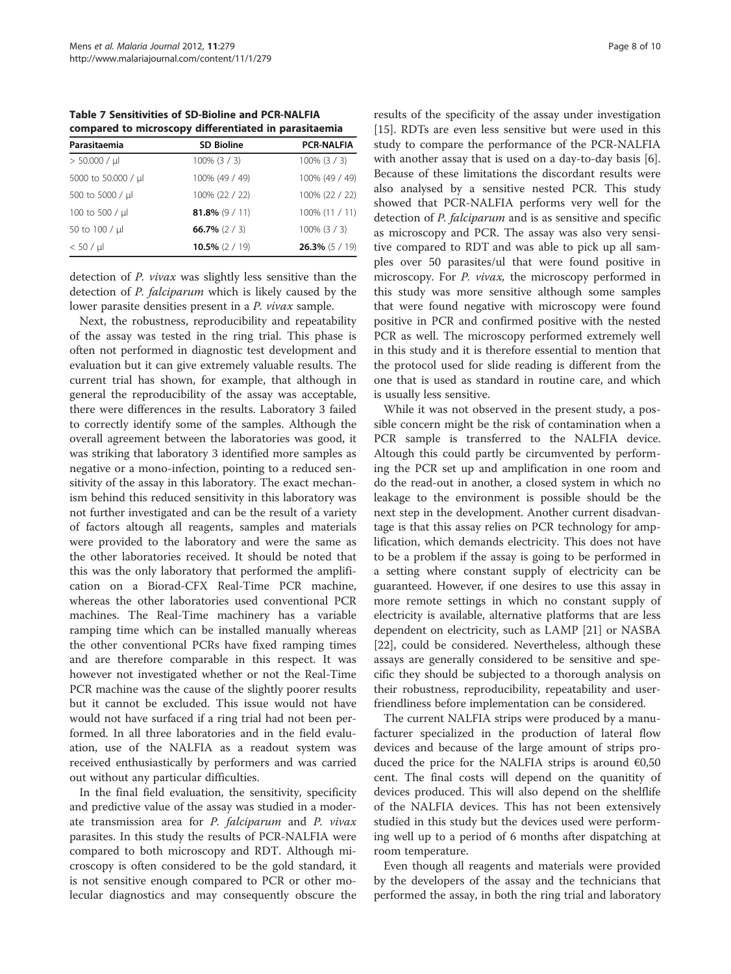<span id="page-7-0"></span>Table 7 Sensitivities of SD-Bioline and PCR-NALFIA compared to microscopy differentiated in parasitaemia

| Parasitaemia        | <b>SD Bioline</b> | <b>PCR-NALFIA</b> |
|---------------------|-------------------|-------------------|
| $> 50.000 / \mu l$  | $100\%$ (3 / 3)   | $100\%$ (3 / 3)   |
| 5000 to 50.000 / µl | 100% (49 / 49)    | 100% (49 / 49)    |
| 500 to 5000 / µl    | 100% (22 / 22)    | 100% (22 / 22)    |
| 100 to 500 / µl     | 81.8% $(9 / 11)$  | 100% (11 / 11)    |
| 50 to 100 / µl      | 66.7% $(2 / 3)$   | $100\%$ (3 / 3)   |
| $< 50 / \mu$        | 10.5% $(2 / 19)$  | $26.3\%$ (5 / 19) |

detection of P. vivax was slightly less sensitive than the detection of P. falciparum which is likely caused by the lower parasite densities present in a P. vivax sample.

Next, the robustness, reproducibility and repeatability of the assay was tested in the ring trial. This phase is often not performed in diagnostic test development and evaluation but it can give extremely valuable results. The current trial has shown, for example, that although in general the reproducibility of the assay was acceptable, there were differences in the results. Laboratory 3 failed to correctly identify some of the samples. Although the overall agreement between the laboratories was good, it was striking that laboratory 3 identified more samples as negative or a mono-infection, pointing to a reduced sensitivity of the assay in this laboratory. The exact mechanism behind this reduced sensitivity in this laboratory was not further investigated and can be the result of a variety of factors altough all reagents, samples and materials were provided to the laboratory and were the same as the other laboratories received. It should be noted that this was the only laboratory that performed the amplification on a Biorad-CFX Real-Time PCR machine, whereas the other laboratories used conventional PCR machines. The Real-Time machinery has a variable ramping time which can be installed manually whereas the other conventional PCRs have fixed ramping times and are therefore comparable in this respect. It was however not investigated whether or not the Real-Time PCR machine was the cause of the slightly poorer results but it cannot be excluded. This issue would not have would not have surfaced if a ring trial had not been performed. In all three laboratories and in the field evaluation, use of the NALFIA as a readout system was received enthusiastically by performers and was carried out without any particular difficulties.

In the final field evaluation, the sensitivity, specificity and predictive value of the assay was studied in a moderate transmission area for P. falciparum and P. vivax parasites. In this study the results of PCR-NALFIA were compared to both microscopy and RDT. Although microscopy is often considered to be the gold standard, it is not sensitive enough compared to PCR or other molecular diagnostics and may consequently obscure the

results of the specificity of the assay under investigation [[15\]](#page-8-0). RDTs are even less sensitive but were used in this study to compare the performance of the PCR-NALFIA with another assay that is used on a day-to-day basis [\[6](#page-8-0)]. Because of these limitations the discordant results were also analysed by a sensitive nested PCR. This study showed that PCR-NALFIA performs very well for the detection of P. falciparum and is as sensitive and specific as microscopy and PCR. The assay was also very sensitive compared to RDT and was able to pick up all samples over 50 parasites/ul that were found positive in microscopy. For P. vivax, the microscopy performed in this study was more sensitive although some samples that were found negative with microscopy were found positive in PCR and confirmed positive with the nested PCR as well. The microscopy performed extremely well in this study and it is therefore essential to mention that the protocol used for slide reading is different from the one that is used as standard in routine care, and which is usually less sensitive.

While it was not observed in the present study, a possible concern might be the risk of contamination when a PCR sample is transferred to the NALFIA device. Altough this could partly be circumvented by performing the PCR set up and amplification in one room and do the read-out in another, a closed system in which no leakage to the environment is possible should be the next step in the development. Another current disadvantage is that this assay relies on PCR technology for amplification, which demands electricity. This does not have to be a problem if the assay is going to be performed in a setting where constant supply of electricity can be guaranteed. However, if one desires to use this assay in more remote settings in which no constant supply of electricity is available, alternative platforms that are less dependent on electricity, such as LAMP [[21\]](#page-8-0) or NASBA [[22\]](#page-9-0), could be considered. Nevertheless, although these assays are generally considered to be sensitive and specific they should be subjected to a thorough analysis on their robustness, reproducibility, repeatability and userfriendliness before implementation can be considered.

The current NALFIA strips were produced by a manufacturer specialized in the production of lateral flow devices and because of the large amount of strips produced the price for the NALFIA strips is around  $€0,50$ cent. The final costs will depend on the quanitity of devices produced. This will also depend on the shelflife of the NALFIA devices. This has not been extensively studied in this study but the devices used were performing well up to a period of 6 months after dispatching at room temperature.

Even though all reagents and materials were provided by the developers of the assay and the technicians that performed the assay, in both the ring trial and laboratory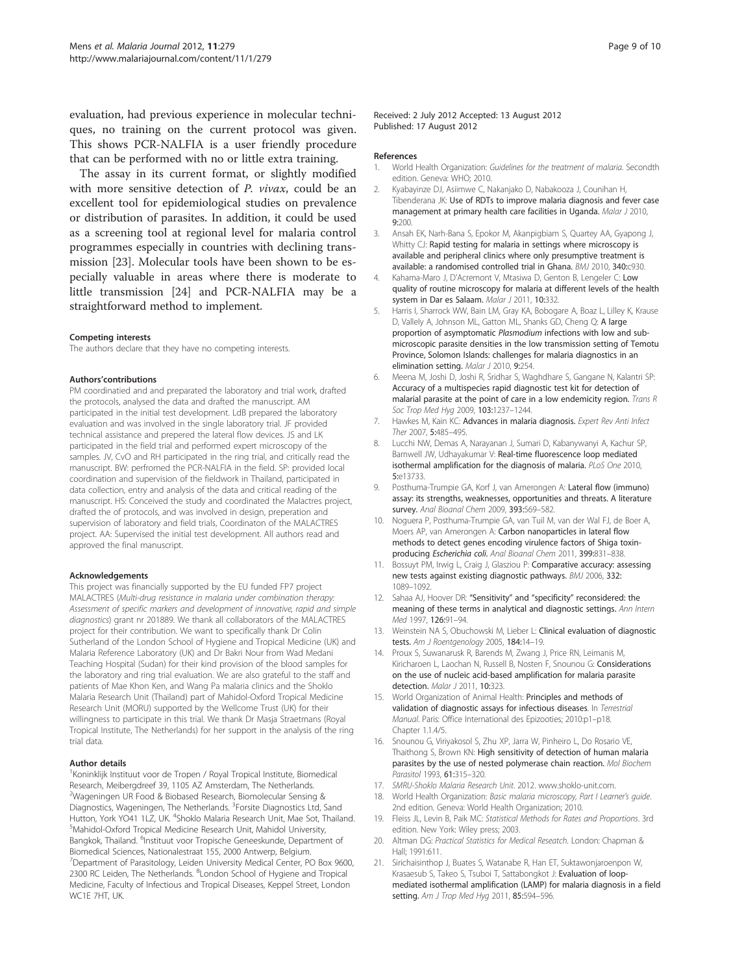<span id="page-8-0"></span>evaluation, had previous experience in molecular techniques, no training on the current protocol was given. This shows PCR-NALFIA is a user friendly procedure that can be performed with no or little extra training.

The assay in its current format, or slightly modified with more sensitive detection of P. vivax, could be an excellent tool for epidemiological studies on prevalence or distribution of parasites. In addition, it could be used as a screening tool at regional level for malaria control programmes especially in countries with declining transmission [\[23](#page-9-0)]. Molecular tools have been shown to be especially valuable in areas where there is moderate to little transmission [[24\]](#page-9-0) and PCR-NALFIA may be a straightforward method to implement.

#### Competing interests

The authors declare that they have no competing interests.

#### Authors'contributions

PM coordinatied and and preparated the laboratory and trial work, drafted the protocols, analysed the data and drafted the manuscript. AM participated in the initial test development. LdB prepared the laboratory evaluation and was involved in the single laboratory trial. JF provided technical assistance and prepered the lateral flow devices. JS and LK participated in the field trial and performed expert microscopy of the samples. JV, CvO and RH participated in the ring trial, and critically read the manuscript. BW: perfromed the PCR-NALFIA in the field. SP: provided local coordination and supervision of the fieldwork in Thailand, participated in data collection, entry and analysis of the data and critical reading of the manuscript. HS: Conceived the study and coordinated the Malactres project, drafted the of protocols, and was involved in design, preperation and supervision of laboratory and field trials, Coordinaton of the MALACTRES project. AA: Supervised the initial test development. All authors read and approved the final manuscript.

#### Acknowledgements

This project was financially supported by the EU funded FP7 project MALACTRES (Multi-drug resistance in malaria under combination therapy: Assessment of specific markers and development of innovative, rapid and simple diagnostics) grant nr 201889. We thank all collaborators of the MALACTRES project for their contribution. We want to specifically thank Dr Colin Sutherland of the London School of Hygiene and Tropical Medicine (UK) and Malaria Reference Laboratory (UK) and Dr Bakri Nour from Wad Medani Teaching Hospital (Sudan) for their kind provision of the blood samples for the laboratory and ring trial evaluation. We are also grateful to the staff and patients of Mae Khon Ken, and Wang Pa malaria clinics and the Shoklo Malaria Research Unit (Thailand) part of Mahidol-Oxford Tropical Medicine Research Unit (MORU) supported by the Wellcome Trust (UK) for their willingness to participate in this trial. We thank Dr Masja Straetmans (Royal Tropical Institute, The Netherlands) for her support in the analysis of the ring trial data.

#### Author details

<sup>1</sup> Koninklijk Instituut voor de Tropen / Royal Tropical Institute, Biomedical Research, Meibergdreef 39, 1105 AZ Amsterdam, The Netherlands. 2 Wageningen UR Food & Biobased Research, Biomolecular Sensing & Diagnostics, Wageningen, The Netherlands. <sup>3</sup>Forsite Diagnostics Ltd, Sand Hutton, York YO41 1LZ, UK. <sup>4</sup>Shoklo Malaria Research Unit, Mae Sot, Thailand.<br><sup>5</sup>Mahidol-Oxford Tropical Medicine Research Unit, Mahidol University. <sup>5</sup>Mahidol-Oxford Tropical Medicine Research Unit, Mahidol University, Bangkok, Thailand. <sup>6</sup>Instituut voor Tropische Geneeskunde, Department of Biomedical Sciences, Nationalestraat 155, 2000 Antwerp, Belgium. <sup>7</sup>Department of Parasitology, Leiden University Medical Center, PO Box 9600, 2300 RC Leiden, The Netherlands. <sup>8</sup>London School of Hygiene and Tropical Medicine, Faculty of Infectious and Tropical Diseases, Keppel Street, London WC1E 7HT, UK.

Received: 2 July 2012 Accepted: 13 August 2012 Published: 17 August 2012

#### References

- World Health Organization: Guidelines for the treatment of malaria. Secondth edition. Geneva: WHO; 2010.
- 2. Kyabayinze DJ, Asiimwe C, Nakanjako D, Nabakooza J, Counihan H, Tibenderana JK: Use of RDTs to improve malaria diagnosis and fever case management at primary health care facilities in Uganda. Malar J 2010,  $9.200$
- 3. Ansah EK, Narh-Bana S, Epokor M, Akanpigbiam S, Quartey AA, Gyapong J, Whitty CJ: Rapid testing for malaria in settings where microscopy is available and peripheral clinics where only presumptive treatment is available: a randomised controlled trial in Ghana. BMJ 2010, 340:c930.
- Kahama-Maro J, D'Acremont V, Mtasiwa D, Genton B, Lengeler C: Low quality of routine microscopy for malaria at different levels of the health system in Dar es Salaam. Malar J 2011, 10:332.
- 5. Harris I, Sharrock WW, Bain LM, Gray KA, Bobogare A, Boaz L, Lilley K, Krause D, Vallely A, Johnson ML, Gatton ML, Shanks GD, Cheng Q: A large proportion of asymptomatic Plasmodium infections with low and submicroscopic parasite densities in the low transmission setting of Temotu Province, Solomon Islands: challenges for malaria diagnostics in an elimination setting. Malar J 2010, 9:254.
- 6. Meena M, Joshi D, Joshi R, Sridhar S, Waghdhare S, Gangane N, Kalantri SP: Accuracy of a multispecies rapid diagnostic test kit for detection of malarial parasite at the point of care in a low endemicity region. Trans R Soc Trop Med Hyg 2009, 103:1237–1244.
- 7. Hawkes M, Kain KC: Advances in malaria diagnosis. Expert Rev Anti Infect Ther 2007, 5:485–495.
- 8. Lucchi NW, Demas A, Narayanan J, Sumari D, Kabanywanyi A, Kachur SP, Barnwell JW, Udhayakumar V: Real-time fluorescence loop mediated isothermal amplification for the diagnosis of malaria. PLoS One 2010, 5:e13733.
- 9. Posthuma-Trumpie GA, Korf J, van Amerongen A: Lateral flow (immuno) assay: its strengths, weaknesses, opportunities and threats. A literature survey. Anal Bioanal Chem 2009, 393:569–582.
- 10. Noguera P, Posthuma-Trumpie GA, van Tuil M, van der Wal FJ, de Boer A, Moers AP, van Amerongen A: Carbon nanoparticles in lateral flow methods to detect genes encoding virulence factors of Shiga toxinproducing Escherichia coli. Anal Bioanal Chem 2011, 399:831–838.
- 11. Bossuyt PM, Irwig L, Craig J, Glasziou P: Comparative accuracy: assessing new tests against existing diagnostic pathways. BMJ 2006, 332: 1089–1092.
- 12. Sahaa AJ, Hoover DR: "Sensitivity" and "specificity" reconsidered: the meaning of these terms in analytical and diagnostic settings. Ann Intern Med 1997, 126:91–94.
- 13. Weinstein NA S, Obuchowski M, Lieber L: Clinical evaluation of diagnostic tests. Am J Roentgenology 2005, 184:14-19.
- 14. Proux S, Suwanarusk R, Barends M, Zwang J, Price RN, Leimanis M, Kiricharoen L, Laochan N, Russell B, Nosten F, Snounou G: Considerations on the use of nucleic acid-based amplification for malaria parasite detection. Malar J 2011, 10:323.
- 15. World Organization of Animal Health: Principles and methods of validation of diagnostic assays for infectious diseases. In Terrestrial Manual. Paris: Office International des Epizooties; 2010:p1–p18. Chapter 1.1.4/5.
- 16. Snounou G, Viriyakosol S, Zhu XP, Jarra W, Pinheiro L, Do Rosario VE, Thaithong S, Brown KN: High sensitivity of detection of human malaria parasites by the use of nested polymerase chain reaction. Mol Biochem Parasitol 1993, 61:315–320.
- 17. SMRU-Shoklo Malaria Research Unit. 2012. [www.shoklo-unit.com.](http://www.shoklo-unit.com)
- 18. World Health Organization: Basic malaria microscopy, Part I Learner's guide. 2nd edition. Geneva: World Health Organization; 2010.
- 19. Fleiss JL, Levin B, Paik MC: Statistical Methods for Rates and Proportions. 3rd edition. New York: Wiley press; 2003.
- 20. Altman DG: Practical Statistics for Medical Reseatch. London: Chapman & Hall; 1991:611.
- 21. Sirichaisinthop J, Buates S, Watanabe R, Han ET, Suktawonjaroenpon W, Krasaesub S, Takeo S, Tsuboi T, Sattabongkot J: Evaluation of loopmediated isothermal amplification (LAMP) for malaria diagnosis in a field setting. Am J Trop Med Hyg 2011, 85:594-596.